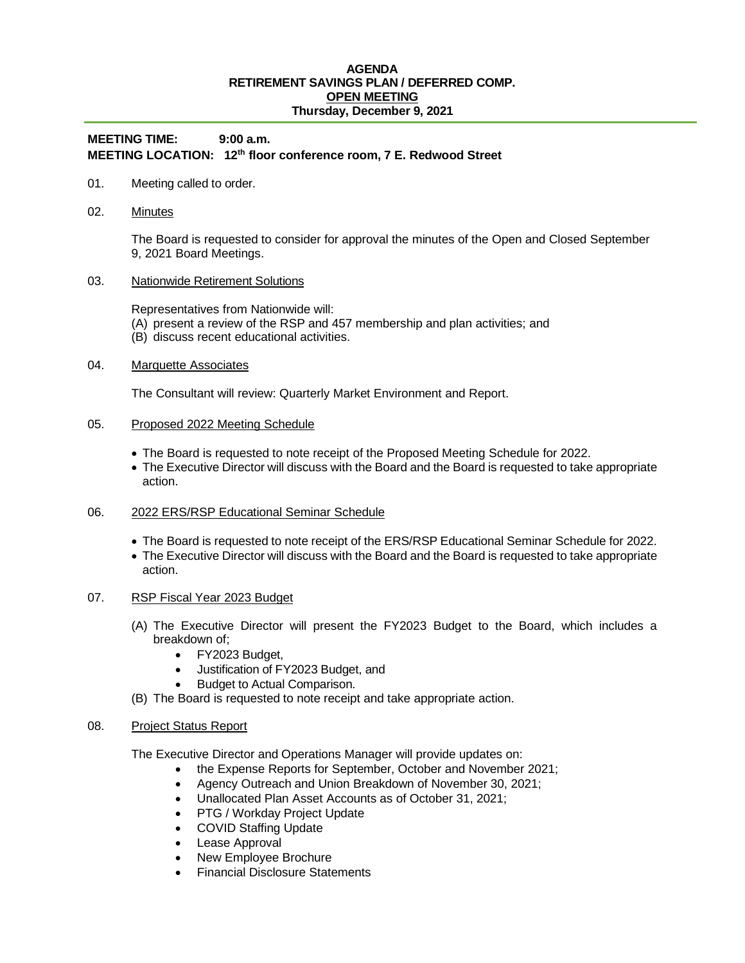### **AGENDA RETIREMENT SAVINGS PLAN / DEFERRED COMP. OPEN MEETING Thursday, December 9, 2021**

# **MEETING TIME: 9:00 a.m. MEETING LOCATION: 12th floor conference room, 7 E. Redwood Street**

- 01. Meeting called to order.
- 02. Minutes

The Board is requested to consider for approval the minutes of the Open and Closed September 9, 2021 Board Meetings.

03. Nationwide Retirement Solutions

Representatives from Nationwide will:

- (A) present a review of the RSP and 457 membership and plan activities; and
- (B) discuss recent educational activities.

## 04. Marquette Associates

The Consultant will review: Quarterly Market Environment and Report.

## 05. Proposed 2022 Meeting Schedule

- The Board is requested to note receipt of the Proposed Meeting Schedule for 2022.
- The Executive Director will discuss with the Board and the Board is requested to take appropriate action.
- 06. 2022 ERS/RSP Educational Seminar Schedule
	- The Board is requested to note receipt of the ERS/RSP Educational Seminar Schedule for 2022.
	- The Executive Director will discuss with the Board and the Board is requested to take appropriate action.

#### 07. RSP Fiscal Year 2023 Budget

- (A) The Executive Director will present the FY2023 Budget to the Board, which includes a breakdown of;
	- FY2023 Budget,
	- Justification of FY2023 Budget, and
	- Budget to Actual Comparison.
- (B) The Board is requested to note receipt and take appropriate action.

#### 08. Project Status Report

The Executive Director and Operations Manager will provide updates on:

- the Expense Reports for September, October and November 2021;
- Agency Outreach and Union Breakdown of November 30, 2021;
- Unallocated Plan Asset Accounts as of October 31, 2021;
- PTG / Workday Project Update
- COVID Staffing Update
- Lease Approval
- New Employee Brochure
- Financial Disclosure Statements